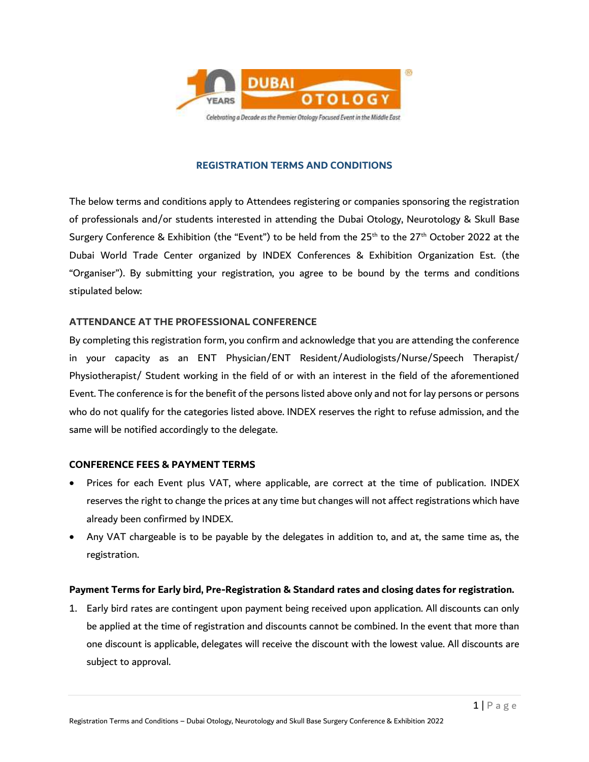

#### **REGISTRATION TERMS AND CONDITIONS**

The below terms and conditions apply to Attendees registering or companies sponsoring the registration of professionals and/or students interested in attending the Dubai Otology, Neurotology & Skull Base Surgery Conference & Exhibition (the "Event") to be held from the 25<sup>th</sup> to the 27<sup>th</sup> October 2022 at the Dubai World Trade Center organized by INDEX Conferences & Exhibition Organization Est. (the "Organiser"). By submitting your registration, you agree to be bound by the terms and conditions stipulated below:

#### **ATTENDANCE AT THE PROFESSIONAL CONFERENCE**

By completing this registration form, you confirm and acknowledge that you are attending the conference in your capacity as an ENT Physician/ENT Resident/Audiologists/Nurse/Speech Therapist/ Physiotherapist/ Student working in the field of or with an interest in the field of the aforementioned Event. The conference is for the benefit of the persons listed above only and not for lay persons or persons who do not qualify for the categories listed above. INDEX reserves the right to refuse admission, and the same will be notified accordingly to the delegate.

#### **CONFERENCE FEES & PAYMENT TERMS**

- Prices for each Event plus VAT, where applicable, are correct at the time of publication. INDEX reserves the right to change the prices at any time but changes will not affect registrations which have already been confirmed by INDEX.
- Any VAT chargeable is to be payable by the delegates in addition to, and at, the same time as, the registration.

# **Payment Terms for Early bird, Pre-Registration & Standard rates and closing dates for registration.**

1. Early bird rates are contingent upon payment being received upon application. All discounts can only be applied at the time of registration and discounts cannot be combined. In the event that more than one discount is applicable, delegates will receive the discount with the lowest value. All discounts are subject to approval.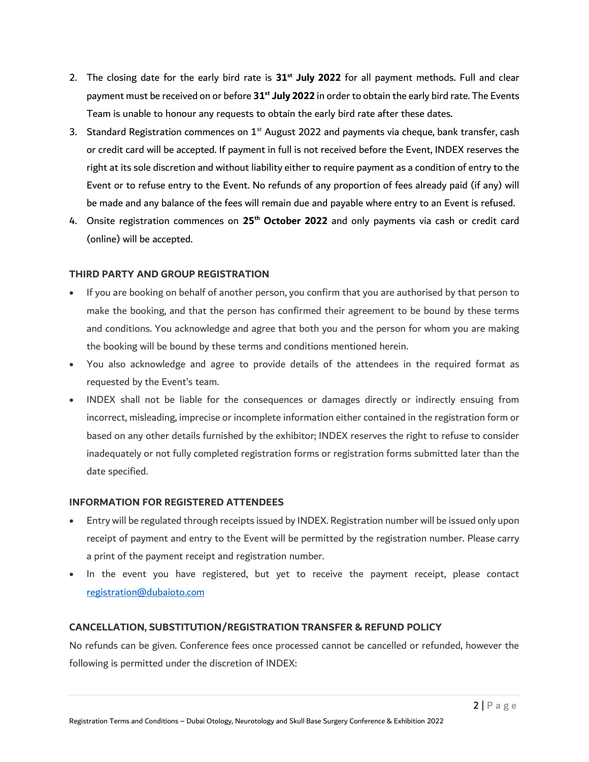- 2. The closing date for the early bird rate is **31st July 2022** for all payment methods. Full and clear payment must be received on or before **31st July 2022** in order to obtain the early bird rate. The Events Team is unable to honour any requests to obtain the early bird rate after these dates.
- 3. Standard Registration commences on  $1<sup>st</sup>$  August 2022 and payments via cheque, bank transfer, cash or credit card will be accepted. If payment in full is not received before the Event, INDEX reserves the right at its sole discretion and without liability either to require payment as a condition of entry to the Event or to refuse entry to the Event. No refunds of any proportion of fees already paid (if any) will be made and any balance of the fees will remain due and payable where entry to an Event is refused.
- 4. Onsite registration commences on **25th October 2022** and only payments via cash or credit card (online) will be accepted.

# **THIRD PARTY AND GROUP REGISTRATION**

- If you are booking on behalf of another person, you confirm that you are authorised by that person to make the booking, and that the person has confirmed their agreement to be bound by these terms and conditions. You acknowledge and agree that both you and the person for whom you are making the booking will be bound by these terms and conditions mentioned herein.
- You also acknowledge and agree to provide details of the attendees in the required format as requested by the Event's team.
- INDEX shall not be liable for the consequences or damages directly or indirectly ensuing from incorrect, misleading, imprecise or incomplete information either contained in the registration form or based on any other details furnished by the exhibitor; INDEX reserves the right to refuse to consider inadequately or not fully completed registration forms or registration forms submitted later than the date specified.

## **INFORMATION FOR REGISTERED ATTENDEES**

- Entry will be regulated through receipts issued by INDEX. Registration number will be issued only upon receipt of payment and entry to the Event will be permitted by the registration number. Please carry a print of the payment receipt and registration number.
- In the event you have registered, but yet to receive the payment receipt, please contact [registration@dubaioto.com](mailto:registration@dubaioto.com)

# **CANCELLATION, SUBSTITUTION/REGISTRATION TRANSFER & REFUND POLICY**

No refunds can be given. Conference fees once processed cannot be cancelled or refunded, however the following is permitted under the discretion of INDEX: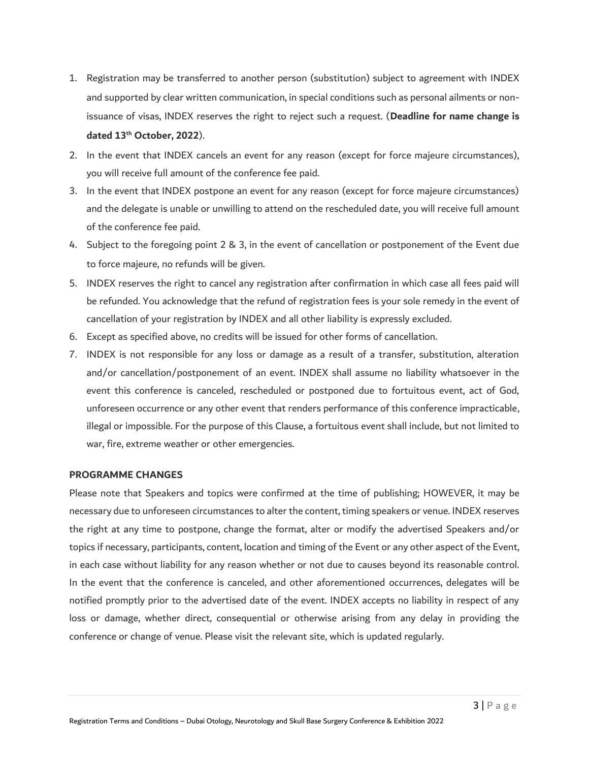- 1. Registration may be transferred to another person (substitution) subject to agreement with INDEX and supported by clear written communication, in special conditions such as personal ailments or nonissuance of visas, INDEX reserves the right to reject such a request. (**Deadline for name change is dated 13 th October, 2022**).
- 2. In the event that INDEX cancels an event for any reason (except for force majeure circumstances), you will receive full amount of the conference fee paid.
- 3. In the event that INDEX postpone an event for any reason (except for force majeure circumstances) and the delegate is unable or unwilling to attend on the rescheduled date, you will receive full amount of the conference fee paid.
- 4. Subject to the foregoing point 2 & 3, in the event of cancellation or postponement of the Event due to force majeure, no refunds will be given.
- 5. INDEX reserves the right to cancel any registration after confirmation in which case all fees paid will be refunded. You acknowledge that the refund of registration fees is your sole remedy in the event of cancellation of your registration by INDEX and all other liability is expressly excluded.
- 6. Except as specified above, no credits will be issued for other forms of cancellation.
- 7. INDEX is not responsible for any loss or damage as a result of a transfer, substitution, alteration and/or cancellation/postponement of an event. INDEX shall assume no liability whatsoever in the event this conference is canceled, rescheduled or postponed due to fortuitous event, act of God, unforeseen occurrence or any other event that renders performance of this conference impracticable, illegal or impossible. For the purpose of this Clause, a fortuitous event shall include, but not limited to war, fire, extreme weather or other emergencies.

#### **PROGRAMME CHANGES**

Please note that Speakers and topics were confirmed at the time of publishing; HOWEVER, it may be necessary due to unforeseen circumstances to alter the content, timing speakers or venue. INDEX reserves the right at any time to postpone, change the format, alter or modify the advertised Speakers and/or topics if necessary, participants, content, location and timing of the Event or any other aspect of the Event, in each case without liability for any reason whether or not due to causes beyond its reasonable control. In the event that the conference is canceled, and other aforementioned occurrences, delegates will be notified promptly prior to the advertised date of the event. INDEX accepts no liability in respect of any loss or damage, whether direct, consequential or otherwise arising from any delay in providing the conference or change of venue. Please visit the relevant site, which is updated regularly.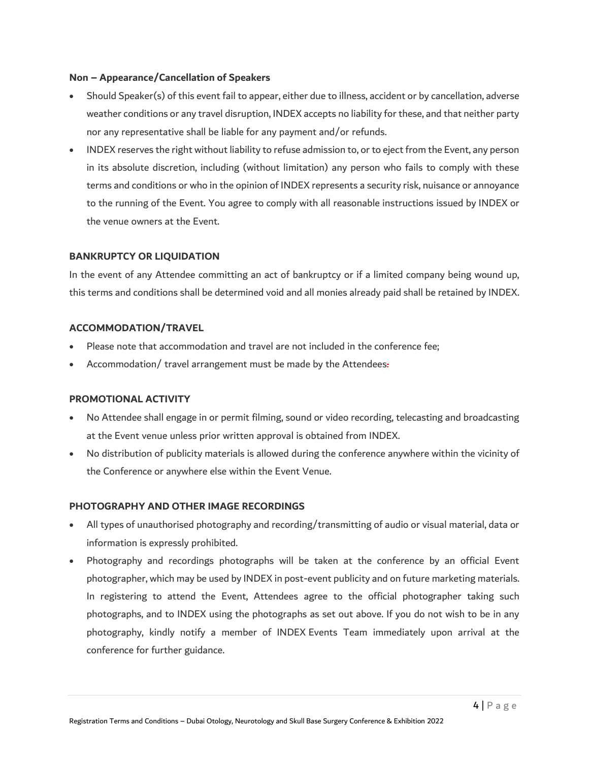## **Non – Appearance/Cancellation of Speakers**

- Should Speaker(s) of this event fail to appear, either due to illness, accident or by cancellation, adverse weather conditions or any travel disruption, INDEX accepts no liability for these, and that neither party nor any representative shall be liable for any payment and/or refunds.
- INDEX reserves the right without liability to refuse admission to, or to eject from the Event, any person in its absolute discretion, including (without limitation) any person who fails to comply with these terms and conditions or who in the opinion of INDEX represents a security risk, nuisance or annoyance to the running of the Event. You agree to comply with all reasonable instructions issued by INDEX or the venue owners at the Event.

# **BANKRUPTCY OR LIQUIDATION**

In the event of any Attendee committing an act of bankruptcy or if a limited company being wound up, this terms and conditions shall be determined void and all monies already paid shall be retained by INDEX.

## **ACCOMMODATION/TRAVEL**

- Please note that accommodation and travel are not included in the conference fee;
- Accommodation/ travel arrangement must be made by the Attendees.

#### **PROMOTIONAL ACTIVITY**

- No Attendee shall engage in or permit filming, sound or video recording, telecasting and broadcasting at the Event venue unless prior written approval is obtained from INDEX.
- No distribution of publicity materials is allowed during the conference anywhere within the vicinity of the Conference or anywhere else within the Event Venue.

#### **PHOTOGRAPHY AND OTHER IMAGE RECORDINGS**

- All types of unauthorised photography and recording/transmitting of audio or visual material, data or information is expressly prohibited.
- Photography and recordings photographs will be taken at the conference by an official Event photographer, which may be used by INDEX in post-event publicity and on future marketing materials. In registering to attend the Event, Attendees agree to the official photographer taking such photographs, and to INDEX using the photographs as set out above. If you do not wish to be in any photography, kindly notify a member of INDEX Events Team immediately upon arrival at the conference for further guidance.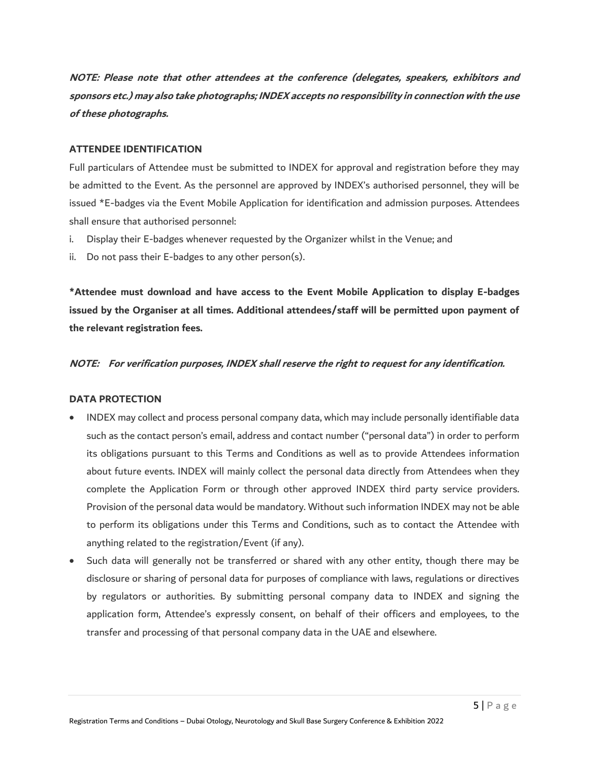**NOTE: Please note that other attendees at the conference (delegates, speakers, exhibitors and sponsors etc.) may also take photographs; INDEX accepts no responsibility in connection with the use of these photographs.**

## **ATTENDEE IDENTIFICATION**

Full particulars of Attendee must be submitted to INDEX for approval and registration before they may be admitted to the Event. As the personnel are approved by INDEX's authorised personnel, they will be issued \*E-badges via the Event Mobile Application for identification and admission purposes. Attendees shall ensure that authorised personnel:

- i. Display their E-badges whenever requested by the Organizer whilst in the Venue; and
- ii. Do not pass their E-badges to any other person(s).

**\*Attendee must download and have access to the Event Mobile Application to display E-badges issued by the Organiser at all times. Additional attendees/staff will be permitted upon payment of the relevant registration fees.**

#### **NOTE: For verification purposes, INDEX shall reserve the right to request for any identification.**

#### **DATA PROTECTION**

- INDEX may collect and process personal company data, which may include personally identifiable data such as the contact person's email, address and contact number ("personal data") in order to perform its obligations pursuant to this Terms and Conditions as well as to provide Attendees information about future events. INDEX will mainly collect the personal data directly from Attendees when they complete the Application Form or through other approved INDEX third party service providers. Provision of the personal data would be mandatory. Without such information INDEX may not be able to perform its obligations under this Terms and Conditions, such as to contact the Attendee with anything related to the registration/Event (if any).
- Such data will generally not be transferred or shared with any other entity, though there may be disclosure or sharing of personal data for purposes of compliance with laws, regulations or directives by regulators or authorities. By submitting personal company data to INDEX and signing the application form, Attendee's expressly consent, on behalf of their officers and employees, to the transfer and processing of that personal company data in the UAE and elsewhere.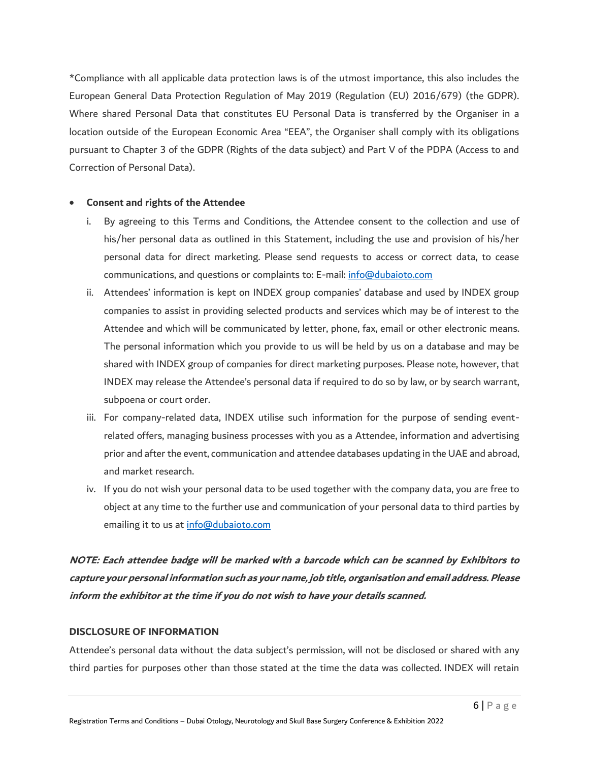\*Compliance with all applicable data protection laws is of the utmost importance, this also includes the European General Data Protection Regulation of May 2019 (Regulation (EU) 2016/679) (the GDPR). Where shared Personal Data that constitutes EU Personal Data is transferred by the Organiser in a location outside of the European Economic Area "EEA", the Organiser shall comply with its obligations pursuant to Chapter 3 of the GDPR (Rights of the data subject) and Part V of the PDPA (Access to and Correction of Personal Data).

#### **Consent and rights of the Attendee**

- i. By agreeing to this Terms and Conditions, the Attendee consent to the collection and use of his/her personal data as outlined in this Statement, including the use and provision of his/her personal data for direct marketing. Please send requests to access or correct data, to cease communications, and questions or complaints to: E-mail: [info@dubaioto.com](mailto:info@dubaioto.com)
- ii. Attendees' information is kept on INDEX group companies' database and used by INDEX group companies to assist in providing selected products and services which may be of interest to the Attendee and which will be communicated by letter, phone, fax, email or other electronic means. The personal information which you provide to us will be held by us on a database and may be shared with INDEX group of companies for direct marketing purposes. Please note, however, that INDEX may release the Attendee's personal data if required to do so by law, or by search warrant, subpoena or court order.
- iii. For company-related data, INDEX utilise such information for the purpose of sending eventrelated offers, managing business processes with you as a Attendee, information and advertising prior and after the event, communication and attendee databases updating in the UAE and abroad, and market research.
- iv. If you do not wish your personal data to be used together with the company data, you are free to object at any time to the further use and communication of your personal data to third parties by emailing it to us at [info@dubaioto.com](mailto:info@dubaioto.com)

**NOTE: Each attendee badge will be marked with a barcode which can be scanned by Exhibitors to capture your personal information such as your name, job title, organisation and email address. Please inform the exhibitor at the time if you do not wish to have your details scanned.**

## **DISCLOSURE OF INFORMATION**

Attendee's personal data without the data subject's permission, will not be disclosed or shared with any third parties for purposes other than those stated at the time the data was collected. INDEX will retain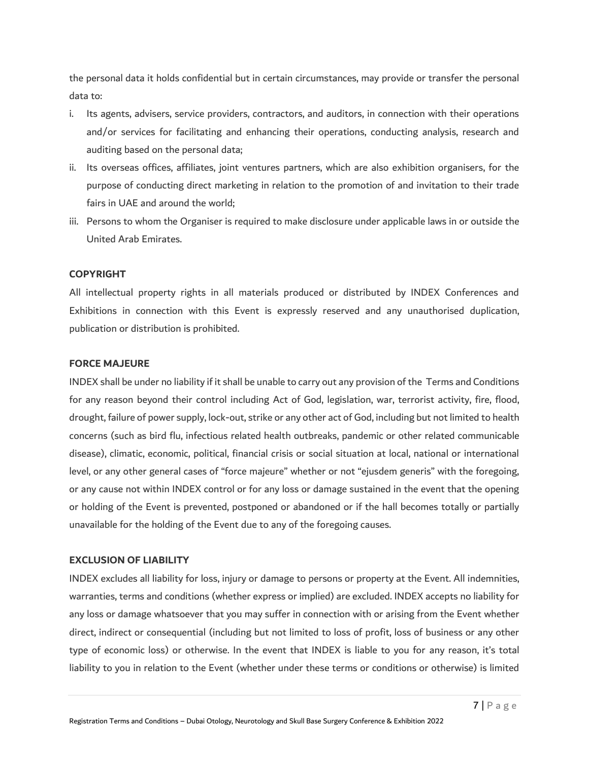the personal data it holds confidential but in certain circumstances, may provide or transfer the personal data to:

- i. Its agents, advisers, service providers, contractors, and auditors, in connection with their operations and/or services for facilitating and enhancing their operations, conducting analysis, research and auditing based on the personal data;
- ii. Its overseas offices, affiliates, joint ventures partners, which are also exhibition organisers, for the purpose of conducting direct marketing in relation to the promotion of and invitation to their trade fairs in UAE and around the world;
- iii. Persons to whom the Organiser is required to make disclosure under applicable laws in or outside the United Arab Emirates.

#### **COPYRIGHT**

All intellectual property rights in all materials produced or distributed by INDEX Conferences and Exhibitions in connection with this Event is expressly reserved and any unauthorised duplication, publication or distribution is prohibited.

#### **FORCE MAJEURE**

INDEX shall be under no liability if it shall be unable to carry out any provision of the Terms and Conditions for any reason beyond their control including Act of God, legislation, war, terrorist activity, fire, flood, drought, failure of power supply, lock-out, strike or any other act of God, including but not limited to health concerns (such as bird flu, infectious related health outbreaks, pandemic or other related communicable disease), climatic, economic, political, financial crisis or social situation at local, national or international level, or any other general cases of "force majeure" whether or not "ejusdem generis" with the foregoing, or any cause not within INDEX control or for any loss or damage sustained in the event that the opening or holding of the Event is prevented, postponed or abandoned or if the hall becomes totally or partially unavailable for the holding of the Event due to any of the foregoing causes.

# **EXCLUSION OF LIABILITY**

INDEX excludes all liability for loss, injury or damage to persons or property at the Event. All indemnities, warranties, terms and conditions (whether express or implied) are excluded. INDEX accepts no liability for any loss or damage whatsoever that you may suffer in connection with or arising from the Event whether direct, indirect or consequential (including but not limited to loss of profit, loss of business or any other type of economic loss) or otherwise. In the event that INDEX is liable to you for any reason, it's total liability to you in relation to the Event (whether under these terms or conditions or otherwise) is limited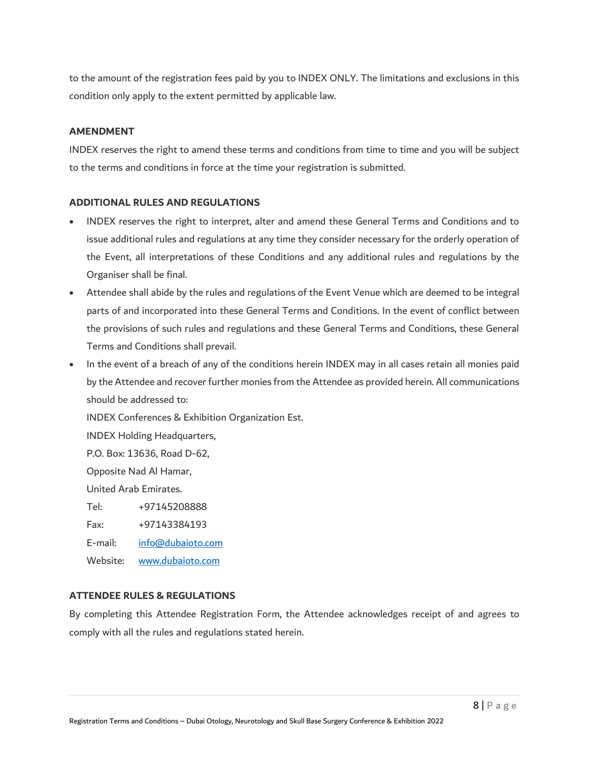to the amount of the registration fees paid by you to INDEX ONLY. The limitations and exclusions in this condition only apply to the extent permitted by applicable law.

## **AMENDMENT**

INDEX reserves the right to amend these terms and conditions from time to time and you will be subject to the terms and conditions in force at the time your registration is submitted.

## **ADDITIONAL RULES AND REGULATIONS**

- INDEX reserves the right to interpret, alter and amend these General Terms and Conditions and to issue additional rules and regulations at any time they consider necessary for the orderly operation of the Event, all interpretations of these Conditions and any additional rules and regulations by the Organiser shall be final.
- Attendee shall abide by the rules and regulations of the Event Venue which are deemed to be integral parts of and incorporated into these General Terms and Conditions. In the event of conflict between the provisions of such rules and regulations and these General Terms and Conditions, these General Terms and Conditions shall prevail.
- In the event of a breach of any of the conditions herein INDEX may in all cases retain all monies paid by the Attendee and recover further monies from the Attendee as provided herein. All communications should be addressed to:

INDEX Conferences & Exhibition Organization Est.

INDEX Holding Headquarters,

P.O. Box: 13636, Road D-62,

Opposite Nad Al Hamar,

United Arab Emirates.

Tel: +97145208888

Fax: +97143384193

E-mail: [info@dubaioto.com](mailto:info@dubaioto.com)

Website: [www.dubaioto.com](http://www.dubaioto.com/)

# **ATTENDEE RULES & REGULATIONS**

By completing this Attendee Registration Form, the Attendee acknowledges receipt of and agrees to comply with all the rules and regulations stated herein.